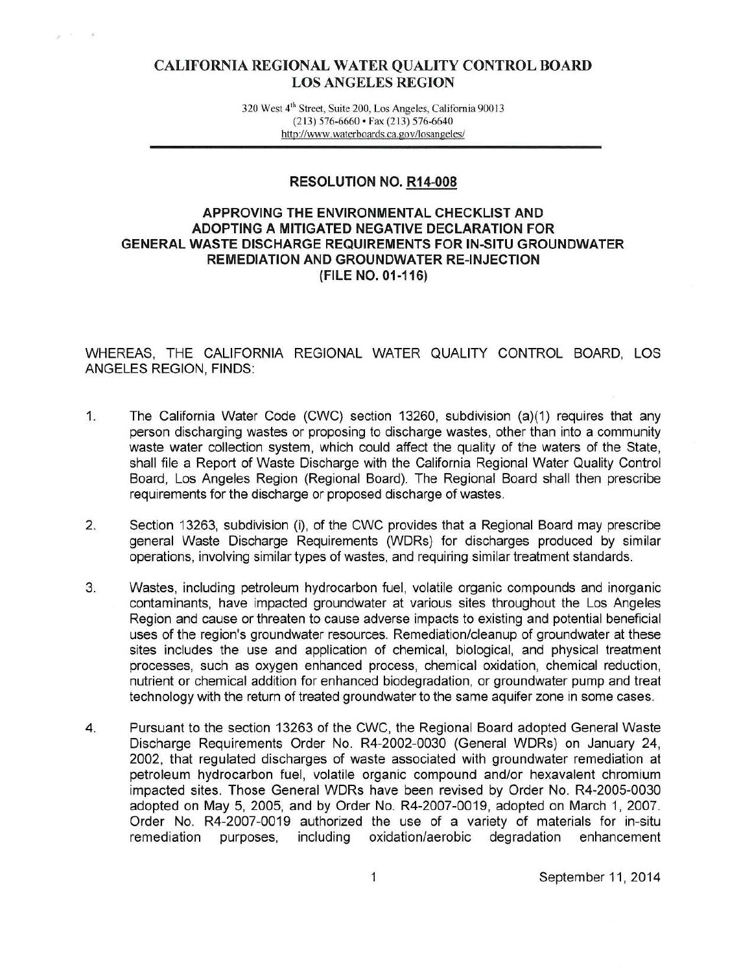# CALIFORNIA REGIONAL WATER QUALITY CONTROL BOARD LOS ANGELES REGION

320 West 4'h Street, Suite 200, Los Angeles, Califomia 90013 (213) 576-6660 • Fax (213) 576-6640 http://www.waterboards.ca.gov/losangeles/

### RESOLUTION NO. R14-008

## APPROVING THE ENVIRONMENTAL CHECKLIST AND ADOPTING A MITIGATED NEGATIVE DECLARATION FOR GENERAL WASTE DISCHARGE REQUIREMENTS FOR IN-SITU GROUNDWATER REMEDIATION AND GROUNDWATER RE-INJECTION (FILE NO. 01-116)

WHEREAS, THE CALIFORNIA REGIONAL WATER QUALITY CONTROL BOARD, LOS ANGELES REGION, FINDS:

- 1. The California Water Code (CWC) section 13260, subdivision (a)(1) requires that any person discharging wastes or proposing to discharge wastes, other than into a community waste water collection system, which could affect the quality of the waters of the State, shall file a Report of Waste Discharge with the California Regional Water Quality Control Board, Los Angeles Region (Regional Board). The Regional Board shall then prescribe requirements for the discharge or proposed discharge of wastes.
- 2. Section 13263, subdivision (i), of the CWC provides that a Regional Board may prescribe general Waste Discharge Requirements (WDRs) for discharges produced by similar operations, involving similar types of wastes, and requiring similar treatment standards.
- 3. Wastes, including petroleum hydrocarbon fuel, volatile organic compounds and inorganic contaminants, have impacted groundwater at various sites throughout the Los Angeles Region and cause or threaten to cause adverse impacts to existing and potential beneficial uses of the region's groundwater resources. Remediation/cleanup of groundwater at these sites includes the use and application of chemical, biological, and physical treatment processes, such as oxygen enhanced process, chemical oxidation, chemical reduction, nutrient or chemical addition for enhanced biodegradation, or groundwater pump and treat technology with the return of treated groundwater to the same aquifer zone in some cases.
- 4. Pursuant to the section 13263 of the CWC, the Regional Board adopted General Waste Discharge Requirements Order No. R4-2002-0030 (General WDRs) on January 24, 2002, that regulated discharges of waste associated with groundwater remediation at petroleum hydrocarbon fuel, volatile organic compound and/or hexavalent chromium impacted sites. Those General WDRs have been revised by Order No. R4-2005-0030 adopted on May 5, 2005, and by Order No. R4-2007-0019, adopted on March 1, 2007. Order No. R4-2007-0019 authorized the use of a variety of materials for in-situ remediation purposes, including oxidation/aerobic degradation enhancement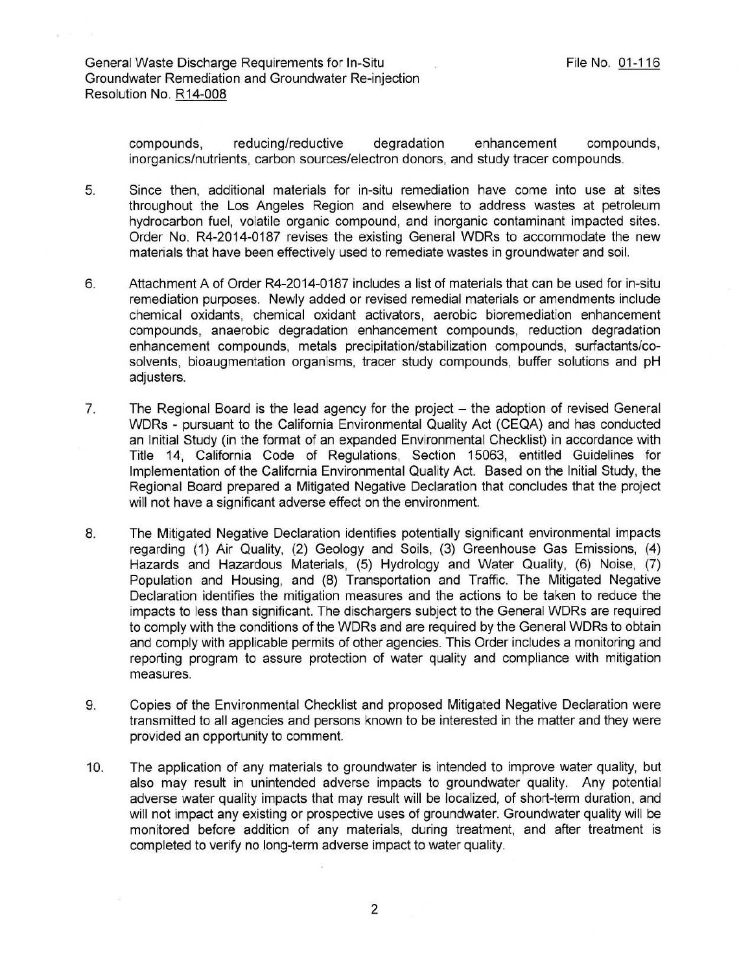compounds, reducing/reductive degradation enhancement compounds, inorganics/nutrients, carbon sources/electron donors, and study tracer compounds.

- 5. Since then, additional materials for in-situ remediation have come into use at sites throughout the Los Angeles Region and elsewhere to address wastes at petroleum hydrocarbon fuel, volatile organic compound, and inorganic contaminant impacted sites. Order No. R4-2014-0187 revises the existing General WDRs to accommodate the new materials that have been effectively used to remediate wastes in groundwater and soil.
- 6. Attachment A of Order R4-2014-0187 includes a list of materials that can be used for in-situ remediation purposes. Newly added or revised remedial materials or amendments include chemical oxidants, chemical oxidant activators, aerobic bioremediation enhancement compounds, anaerobic degradation enhancement compounds, reduction degradation enhancement compounds, metals precipitation/stabilization compounds, surfactants/cosolvents, bioaugmentation organisms, tracer study compounds, buffer solutions and pH adjusters.
- 7. The Regional Board is the lead agency for the project the adoption of revised General WDRs - pursuant to the California Environmental Quality Act (CEQA) and has conducted an Initial Study (in the format of an expanded Environmental Checklist) in accordance with Title 14, California Code of Regulations, Section 15063, entitled Guidelines for Implementation of the California Environmental Quality Act. Based on the Initial Study, the Regional Board prepared a Mitigated Negative Declaration that concludes that the project will not have a significant adverse effect on the environment.
- 8. The Mitigated Negative Declaration identifies potentially significant environmental impacts regarding (1) Air Quality, (2) Geology and Soils, (3) Greenhouse Gas Emissions, (4) Hazards and Hazardous Materials, (5) Hydrology and Water Quality, (6) Noise, (7) Population and Housing, and (8) Transportation and Traffic. The Mitigated Negative Declaration identifies the mitigation measures and the actions to be taken to reduce the impacts to less than significant. The dischargers subject to the General WDRs are required to comply with the conditions of the WDRs and are required by the General WDRs to obtain and comply with applicable permits of other agencies. This Order includes a monitoring and reporting program to assure protection of water quality and compliance with mitigation measures.
- 9. Copies of the Environmental Checklist and proposed Mitigated Negative Declaration were transmitted to all agencies and persons known to be interested in the matter and they were provided an opportunity to comment.
- 10. The application of any materials to groundwater is intended to improve water quality, but also may result in unintended adverse impacts to groundwater quality. Any potential adverse water quality impacts that may result will be localized, of short-term duration, and will not impact any existing or prospective uses of groundwater. Groundwater quality will be monitored before addition of any materials, during treatment, and after treatment is completed to verify no long-term adverse impact to water quality.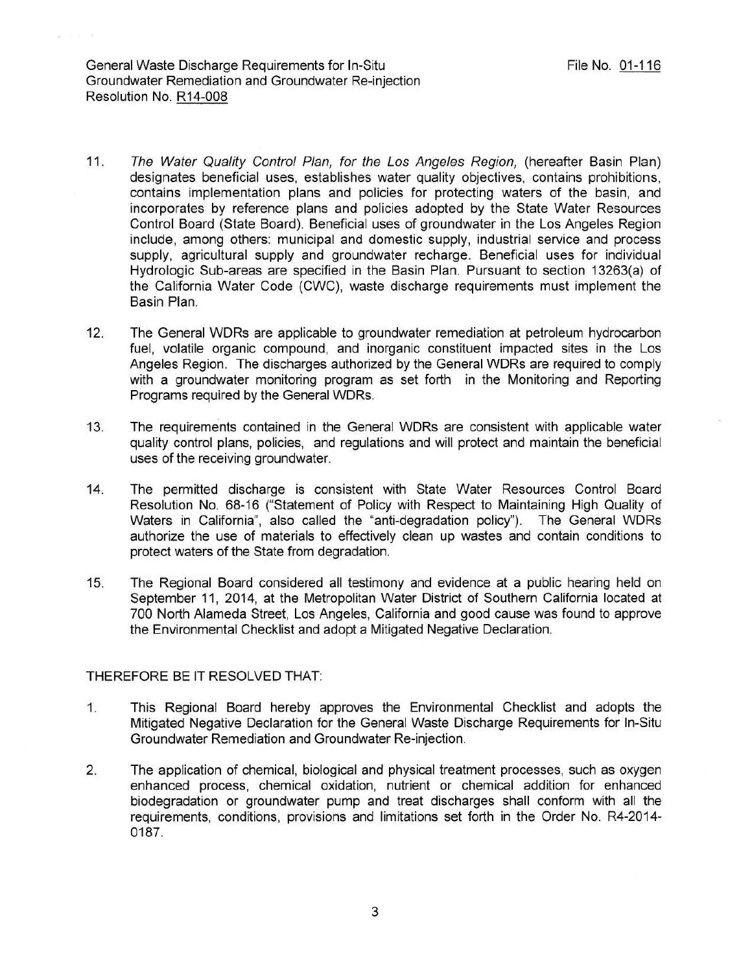General Waste Discharge Requirements for In-Situ Groundwater Remediation and Groundwater Re-injection Resolution No. R14-008

- 11. The Water Quality Control Plan, for the Los Angeles Region, (hereafter Basin Plan) designates beneficial uses, establishes water quality objectives, contains prohibitions, contains implementation plans and policies for protecting waters of the basin, and incorporates by reference plans and policies adopted by the State Water Resources Control Board (State Board). Beneficial uses of groundwater in the Los Angeles Region include, among others: municipal and domestic supply, industrial service and process supply, agricultural supply and groundwater recharge. Beneficial uses for individual Hydrologic Sub-areas are specified in the Basin Plan. Pursuant to section 13263(a) of the California Water Code (CWC), waste discharge requirements must implement the Basin Plan.
- 12. The General WDRs are applicable to groundwater remediation at petroleum hydrocarbon fuel, volatile organic compound, and inorganic constituent impacted sites in the Los Angeles Region. The discharges authorized by the General WDRs are required to comply with a groundwater monitoring program as set forth in the Monitoring and Reporting Programs required by the General WDRs.
- 13. The requirements contained in the General WDRs are consistent with applicable water quality control plans, policies, and regulations and will protect and maintain the beneficial uses of the receiving groundwater.
- 14. The permitted discharge is consistent with State Water Resources Control Board Resolution No. 68-16 ("Statement of Policy with Respect to Maintaining High Quality of Waters in California", also called the "anti-degradation policy"). The General WDRs authorize the use of materials to effectively clean up wastes and contain conditions to protect waters of the State from degradation.
- 15. The Regional Board considered all testimony and evidence at a public hearing held on September 11, 2014, at the Metropolitan Water District of Southern California located at 700 North Alameda Street, Los Angeles, California and good cause was found to approve the Environmental Checklist and adopt a Mitigated Negative Declaration.

### THEREFORE BE IT RESOLVED THAT:

- 1. This Regional Board hereby approves the Environmental Checklist and adopts the Mitigated Negative Declaration for the General Waste Discharge Requirements for In-Situ Groundwater Remediation and Groundwater Re-injection.
- 2. The application of chemical, biological and physical treatment processes, such as oxygen enhanced process, chemical oxidation, nutrient or chemical addition for enhanced biodegradation or groundwater pump and treat discharges shall conform with all the requirements, conditions, provisions and limitations set forth in the Order No. R4-2014- 0187.